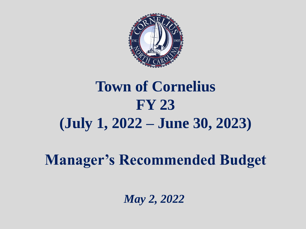

### **Town of Cornelius FY 23 (July 1, 2022 – June 30, 2023)**

**Manager's Recommended Budget**

*May 2, 2022*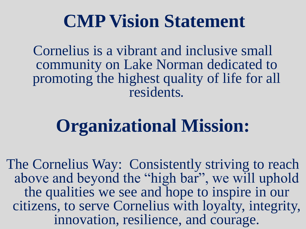### **CMP Vision Statement**

Cornelius is a vibrant and inclusive small community on Lake Norman dedicated to promoting the highest quality of life for all residents*.*

# **Organizational Mission:**

The Cornelius Way: Consistently striving to reach above and beyond the "high bar", we will uphold the qualities we see and hope to inspire in our citizens, to serve Cornelius with loyalty, integrity, innovation, resilience, and courage.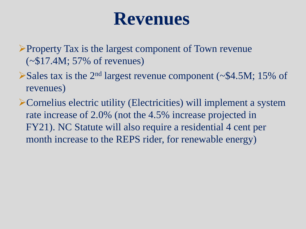### **Revenues**

➢Property Tax is the largest component of Town revenue (~\$17.4M; 57% of revenues)

- ➢Sales tax is the 2nd largest revenue component (~\$4.5M; 15% of revenues)
- ➢Cornelius electric utility (Electricities) will implement a system rate increase of 2.0% (not the 4.5% increase projected in FY21). NC Statute will also require a residential 4 cent per month increase to the REPS rider, for renewable energy)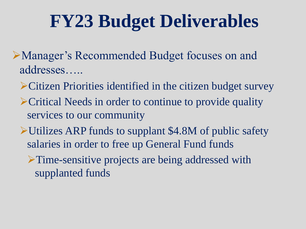## **FY23 Budget Deliverables**

- ➢Manager's Recommended Budget focuses on and addresses…..
	- ➢Citizen Priorities identified in the citizen budget survey
	- ➢Critical Needs in order to continue to provide quality services to our community
	- ➢Utilizes ARP funds to supplant \$4.8M of public safety salaries in order to free up General Fund funds
		- ➢Time-sensitive projects are being addressed with supplanted funds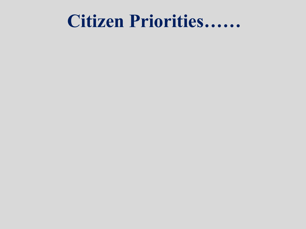### **Citizen Priorities……**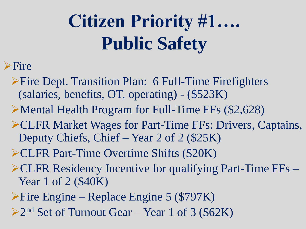# **Citizen Priority #1…. Public Safety**

#### ➢Fire

- ➢Fire Dept. Transition Plan: 6 Full-Time Firefighters (salaries, benefits, OT, operating) - (\$523K)
- ➢Mental Health Program for Full-Time FFs (\$2,628)
- ➢CLFR Market Wages for Part-Time FFs: Drivers, Captains, Deputy Chiefs, Chief – Year 2 of 2 (\$25K)
- ➢CLFR Part-Time Overtime Shifts (\$20K)
- $\triangle$ CLFR Residency Incentive for qualifying Part-Time FFs Year 1 of 2 (\$40K)
- ➢Fire Engine Replace Engine 5 (\$797K)
- ➢2 nd Set of Turnout Gear Year 1 of 3 (\$62K)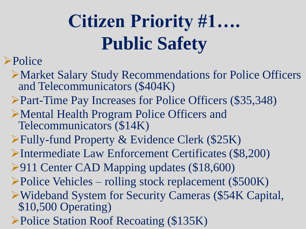# **Citizen Priority #1…. Public Safety**

#### ➢Police

- ➢Market Salary Study Recommendations for Police Officers and Telecommunicators (\$404K)
- ➢Part-Time Pay Increases for Police Officers (\$35,348)
- ➢Mental Health Program Police Officers and Telecommunicators (\$14K)
- ➢Fully-fund Property & Evidence Clerk (\$25K)
- ➢Intermediate Law Enforcement Certificates (\$8,200)
- ➢911 Center CAD Mapping updates (\$18,600)
- ➢Police Vehicles rolling stock replacement (\$500K)
- ➢Wideband System for Security Cameras (\$54K Capital, \$10,500 Operating)
- ➢Police Station Roof Recoating (\$135K)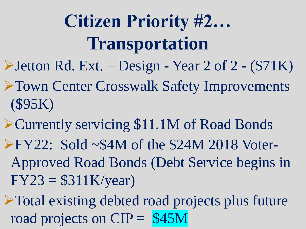# **Citizen Priority #2… Transportation**

- ➢Jetton Rd. Ext. Design Year 2 of 2 (\$71K)
- ➢Town Center Crosswalk Safety Improvements (\$95K)
- ➢Currently servicing \$11.1M of Road Bonds ➢FY22: Sold ~\$4M of the \$24M 2018 Voter-Approved Road Bonds (Debt Service begins in  $FY23 = $311K/year)$
- ➢Total existing debted road projects plus future road projects on  $CIP = $45M$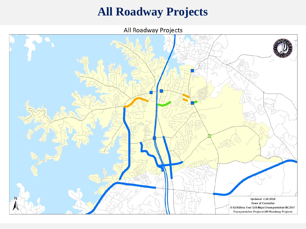#### **All Roadway Projects**

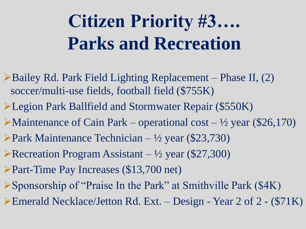# **Citizen Priority #3…. Parks and Recreation**

- ➢Bailey Rd. Park Field Lighting Replacement Phase II, (2) soccer/multi-use fields, football field (\$755K)
- ➢Legion Park Ballfield and Stormwater Repair (\$550K)
- $\blacktriangleright$ Maintenance of Cain Park operational cost ½ year (\$26,170)
- ➢Park Maintenance Technician ½ year (\$23,730)
- $\blacktriangleright$  Recreation Program Assistant ½ year (\$27,300)
- ➢Part-Time Pay Increases (\$13,700 net)
- ➢Sponsorship of "Praise In the Park" at Smithville Park (\$4K)
- ➢Emerald Necklace/Jetton Rd. Ext. Design Year 2 of 2 (\$71K)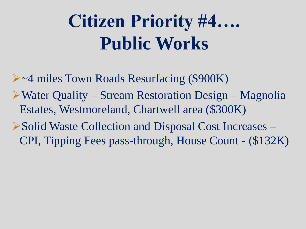# **Citizen Priority #4…. Public Works**

➢~4 miles Town Roads Resurfacing (\$900K) ➢Water Quality – Stream Restoration Design – Magnolia Estates, Westmoreland, Chartwell area (\$300K)

➢Solid Waste Collection and Disposal Cost Increases – CPI, Tipping Fees pass-through, House Count - (\$132K)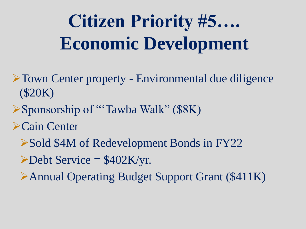# **Citizen Priority #5…. Economic Development**

- ➢Town Center property Environmental due diligence (\$20K)
- ➢Sponsorship of "'Tawba Walk" (\$8K)
- ➢Cain Center
	- ➢Sold \$4M of Redevelopment Bonds in FY22
	- $\triangle$ Debt Service = \$402K/yr.
	- ➢Annual Operating Budget Support Grant (\$411K)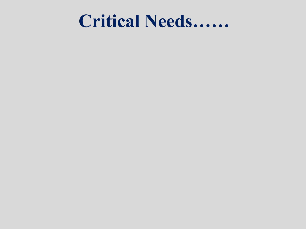### **Critical Needs……**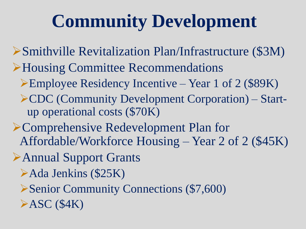## **Community Development**

- ➢Smithville Revitalization Plan/Infrastructure (\$3M)
- ➢Housing Committee Recommendations
	- ➢Employee Residency Incentive Year 1 of 2 (\$89K)
	- ➢CDC (Community Development Corporation) Startup operational costs (\$70K)
- ➢Comprehensive Redevelopment Plan for Affordable/Workforce Housing – Year 2 of 2 (\$45K)
- ➢Annual Support Grants
	- ➢Ada Jenkins (\$25K)
	- ➢Senior Community Connections (\$7,600)
	- $\triangleright$ ASC (\$4K)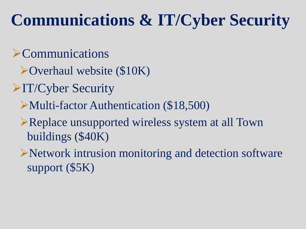### **Communications & IT/Cyber Security**

#### ➢Communications

- ➢Overhaul website (\$10K)
- ➢IT/Cyber Security
	- ➢Multi-factor Authentication (\$18,500)
	- ➢Replace unsupported wireless system at all Town buildings (\$40K)
	- ➢Network intrusion monitoring and detection software support (\$5K)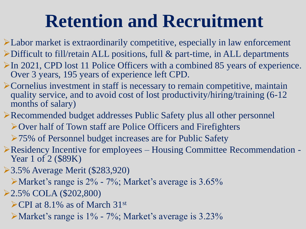### **Retention and Recruitment**

- ➢Labor market is extraordinarily competitive, especially in law enforcement
- $\triangleright$ Difficult to fill/retain ALL positions, full & part-time, in ALL departments
- ➢In 2021, CPD lost 11 Police Officers with a combined 85 years of experience. Over 3 years, 195 years of experience left CPD.
- ➢Cornelius investment in staff is necessary to remain competitive, maintain quality service, and to avoid cost of lost productivity/hiring/training (6-12 months of salary)
- ➢Recommended budget addresses Public Safety plus all other personnel
	- ➢Over half of Town staff are Police Officers and Firefighters
	- ➢75% of Personnel budget increases are for Public Safety
- ➢Residency Incentive for employees Housing Committee Recommendation Year 1 of 2 (\$89K)
- ➢3.5% Average Merit (\$283,920)
	- ➢Market's range is 2% 7%; Market's average is 3.65%
- ➢2.5% COLA (\$202,800)
	- ➢CPI at 8.1% as of March 31st
	- ➢Market's range is 1% 7%; Market's average is 3.23%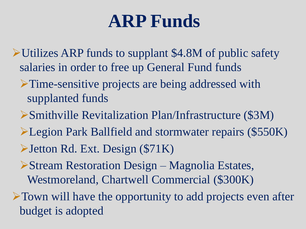### **ARP Funds**

- ➢Utilizes ARP funds to supplant \$4.8M of public safety salaries in order to free up General Fund funds
	- ➢Time-sensitive projects are being addressed with supplanted funds
	- ➢Smithville Revitalization Plan/Infrastructure (\$3M)
	- ➢Legion Park Ballfield and stormwater repairs (\$550K)
	- ➢Jetton Rd. Ext. Design (\$71K)
	- ➢Stream Restoration Design Magnolia Estates, Westmoreland, Chartwell Commercial (\$300K)
- ➢Town will have the opportunity to add projects even after budget is adopted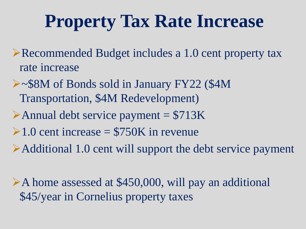## **Property Tax Rate Increase**

- ➢Recommended Budget includes a 1.0 cent property tax rate increase
- ➢~\$8M of Bonds sold in January FY22 (\$4M Transportation, \$4M Redevelopment)
- $\blacktriangleright$  Annual debt service payment = \$713K
- $\geq 1.0$  cent increase = \$750K in revenue
- ➢Additional 1.0 cent will support the debt service payment

➢A home assessed at \$450,000, will pay an additional \$45/year in Cornelius property taxes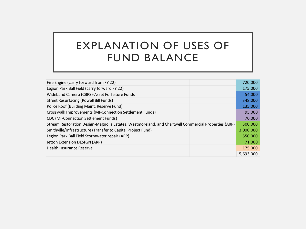#### EXPLANATION OF USES OF FUND BALANCE

| Fire Engine (carry forward from FY 22)                                                              | 720,000   |
|-----------------------------------------------------------------------------------------------------|-----------|
| Legion Park Ball Field (carry forward FY 22)                                                        | 175,000   |
| Wideband Camera (CBRS)-Asset Forfeiture Funds                                                       | 54,000    |
| <b>Street Resurfacing (Powell Bill Funds)</b>                                                       | 348,000   |
| Police Roof (Building Maint. Reserve Fund)                                                          | 135,000   |
| Crosswalk Improvements (MI-Connection Settlement Funds)                                             | 95,000    |
| <b>CDC</b> (MI-Connection Settlement Funds)                                                         | 70,000    |
| Stream Restoration Design-Magnolia Estates, Westmoreland, and Chartwell Commercial Properties (ARP) | 300,000   |
| Smithville/Infrastructure (Transfer to Capital Project Fund)                                        | 3,000,000 |
| Legion Park Ball Field Stormwater repair (ARP)                                                      | 550,000   |
| Jetton Extension DESIGN (ARP)                                                                       | 71,000    |
| <b>Health Insurance Reserve</b>                                                                     | 175,000   |
|                                                                                                     | 5,693,000 |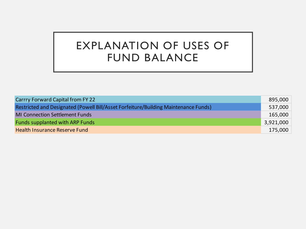#### EXPLANATION OF USES OF FUND BALANCE

| Carrry Forward Capital from FY 22                                                   | 895,000   |
|-------------------------------------------------------------------------------------|-----------|
| Restricted and Designated (Powell Bill/Asset Forfeiture/Building Maintenance Funds) | 537,000   |
| <b>MI Connection Settlement Funds</b>                                               | 165,000   |
| <b>Funds supplanted with ARP Funds</b>                                              | 3,921,000 |
| Health Insurance Reserve Fund                                                       | 175,000   |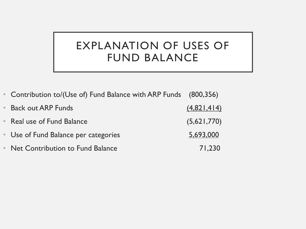#### EXPLANATION OF USES OF FUND BALANCE

| • Contribution to/(Use of) Fund Balance with ARP Funds (800,356) |             |
|------------------------------------------------------------------|-------------|
| <b>Back out ARP Funds</b>                                        | (4,821,414) |
| • Real use of Fund Balance                                       | (5,621,770) |
| • Use of Fund Balance per categories                             | 5,693,000   |
| • Net Contribution to Fund Balance                               | 71,230      |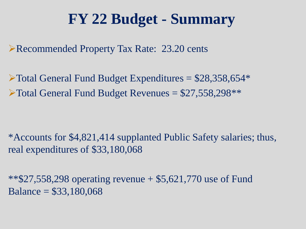#### **FY 22 Budget - Summary**

➢Recommended Property Tax Rate: 23.20 cents

 $\blacktriangleright$  Total General Fund Budget Expenditures = \$28,358,654\*  $\blacktriangleright$  Total General Fund Budget Revenues = \$27,558,298\*\*

\*Accounts for \$4,821,414 supplanted Public Safety salaries; thus, real expenditures of \$33,180,068

\*\*\$27,558,298 operating revenue + \$5,621,770 use of Fund Balance = \$33,180,068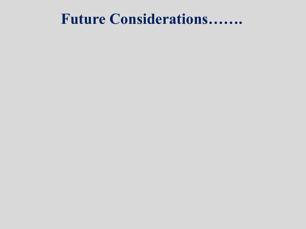#### **Future Considerations…….**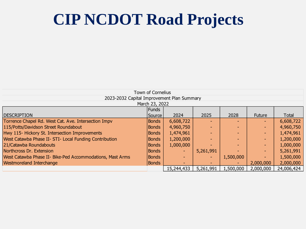#### **CIP NCDOT Road Projects**

| Town of Cornelius                                         |              |            |                          |                          |                          |            |  |  |  |
|-----------------------------------------------------------|--------------|------------|--------------------------|--------------------------|--------------------------|------------|--|--|--|
| 2023-2032 Capital Improvement Plan Summary                |              |            |                          |                          |                          |            |  |  |  |
| March 23, 2022                                            |              |            |                          |                          |                          |            |  |  |  |
|                                                           | Funds        |            |                          |                          |                          |            |  |  |  |
| <b>IDESCRIPTION</b>                                       | Source       | 2024       | 2025                     | 2028                     | <b>Future</b>            | Total      |  |  |  |
| Torrence Chapel Rd. West Cat. Ave. Intersection Impv      | <b>Bonds</b> | 6,608,722  |                          |                          | ÷                        | 6,608,722  |  |  |  |
| 115/Potts/Davidson Street Roundabout                      | <b>Bonds</b> | 4,960,750  | -                        |                          | $\sim$                   | 4,960,750  |  |  |  |
| Hwy 115- Hickory St. Intersection Improvements            | <b>Bonds</b> | 1,474,961  |                          |                          | $\sim$                   | 1,474,961  |  |  |  |
| West Catawba Phase II- STI- Local Funding Contribution    | <b>Bonds</b> | 1,200,000  | -                        |                          | $\sim$                   | 1,200,000  |  |  |  |
| 21/Catawba Roundabouts                                    | <b>Bonds</b> | 1,000,000  |                          |                          | $\sim$                   | 1,000,000  |  |  |  |
| Northcross Dr. Extension                                  | <b>Bonds</b> | ٠          | 5,261,991                |                          | $\sim$                   | 5,261,991  |  |  |  |
| West Catawba Phase II- Bike-Ped Accommodations, Mast Arms | Bonds        | $\sim$     | $\overline{\phantom{a}}$ | 1,500,000                | $\overline{\phantom{0}}$ | 1,500,000  |  |  |  |
| <b>Westmoreland Interchange</b>                           | <b>Bonds</b> |            | $\overline{\phantom{a}}$ | $\overline{\phantom{a}}$ | 2,000,000                | 2,000,000  |  |  |  |
|                                                           |              | 15,244,433 | 5,261,991                | 1,500,000                | 2,000,000                | 24,006,424 |  |  |  |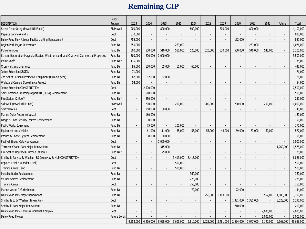#### **Remaining CIP**

|                                                                                        | <b>Funds</b>        |                          |                          |                          |                          |                          |                          |                          |                          |                          |                          |                          |            |
|----------------------------------------------------------------------------------------|---------------------|--------------------------|--------------------------|--------------------------|--------------------------|--------------------------|--------------------------|--------------------------|--------------------------|--------------------------|--------------------------|--------------------------|------------|
| <b>DESCRIPTION</b>                                                                     | Source              | 2023                     | 2024                     | 2025                     | 2026                     | 2027                     | 2028                     | 2029                     | 2030                     | 2031                     | 2032                     | Future                   | Total      |
| Street Resurfacing (Powell Bill Funds)                                                 | <b>FB Powell</b>    | 900,000                  | $\overline{\phantom{a}}$ | 800,000                  | $\overline{\phantom{a}}$ | 800,000                  | $\blacksquare$           | 800,000                  | $\overline{\phantom{a}}$ | 800,000                  |                          |                          | 4,100,000  |
| Replace Engine 4 and 5                                                                 | Debt                | 830,000                  |                          |                          | $\overline{\phantom{a}}$ |                          | $\blacksquare$           |                          | $\overline{a}$           | $\overline{\phantom{a}}$ | $\blacksquare$           | $\overline{\phantom{a}}$ | 830,000    |
| Bailey Road Park Athletic Facility Lighting Replacement                                | Debt                | 755,000                  |                          | $\blacksquare$           |                          |                          | $\overline{\phantom{a}}$ | $\overline{\phantom{a}}$ | 132,000                  | $\blacksquare$           | $\overline{\phantom{a}}$ | $\overline{\phantom{a}}$ | 887,000    |
| Legion Park Major Renovations                                                          | Fund Bal            | 550,000                  |                          | $\overline{a}$           | 263,000                  |                          | $\overline{a}$           | $\overline{\phantom{a}}$ |                          | 263,000                  | $\blacksquare$           | $\overline{\phantom{a}}$ | 1,076,000  |
| Police Vehicles                                                                        | Fund Bal            | 500,000                  | 500,000                  | 510,000                  | 510,000                  | 520,000                  | 520,000                  | 530,000                  | 530,000                  | 540,000                  | 540,000                  | $\overline{\phantom{a}}$ | 5,200,000  |
| Stream Restoration-Magnolia Estates, Westmoreland, and Chartwell Commercial Properties | Fund Bal            | 300,000                  | 200,000                  | 3,000,000                |                          |                          |                          |                          |                          |                          |                          | $\overline{\phantom{a}}$ | 3,500,000  |
| Police Roof*                                                                           | Fund Bal*           | 135,000                  | $\overline{\phantom{a}}$ | $\overline{\phantom{a}}$ | $\overline{\phantom{a}}$ | $\overline{\phantom{a}}$ | $\blacksquare$           |                          | $\overline{\phantom{a}}$ | $\overline{\phantom{a}}$ | $\overline{\phantom{a}}$ | $\overline{\phantom{a}}$ | 135,000    |
| Crosswalk Improvements                                                                 | Fund Bal            | 95,000                   | 150,000                  | 65,000                   | 65,000                   | 65,000                   | $\blacksquare$           |                          | $\overline{\phantom{a}}$ | $\overline{\phantom{a}}$ | $\overline{\phantom{a}}$ | $\overline{\phantom{a}}$ | 440,000    |
| Jetton Extension DESIGN                                                                | Fund Bal            | 71,000                   | $\sim$                   | $\blacksquare$           | $\overline{\phantom{a}}$ | $\overline{\phantom{a}}$ | $\overline{\phantom{a}}$ |                          | $\overline{\phantom{a}}$ | $\overline{\phantom{a}}$ | $\overline{\phantom{a}}$ | $\overline{\phantom{a}}$ | 71,000     |
| 2nd Set of Personal Protective Equipment (turn out gear)                               | Fund Bal            | 62,000                   | 62,000                   | 62,000                   | $\blacksquare$           | $\blacksquare$           | $\overline{\phantom{a}}$ |                          | $\overline{\phantom{a}}$ | $\blacksquare$           | $\blacksquare$           | $\overline{\phantom{a}}$ | 186,000    |
| Wideband Camera Surveillance Project                                                   | Fund Bal            | 54,000                   |                          | $\overline{\phantom{a}}$ | $\overline{\phantom{a}}$ | $\overline{\phantom{a}}$ | $\overline{\phantom{a}}$ |                          | $\overline{\phantom{a}}$ | $\overline{\phantom{a}}$ | $\overline{\phantom{a}}$ | $\overline{\phantom{a}}$ | 54,000     |
| Jetton Extension CONSTRUCTION                                                          | Debt                | $\overline{\phantom{a}}$ | 2,500,000                | $\overline{\phantom{a}}$ |                          | $\overline{\phantom{a}}$ | $\overline{\phantom{a}}$ |                          |                          | $\overline{\phantom{a}}$ | $\overline{\phantom{a}}$ | $\overline{\phantom{a}}$ | 2,500,000  |
| Self-Contained Breathing Apparatus (SCBA) Replacement                                  | Fund Bal            | $\blacksquare$           | 510,000                  | $\blacksquare$           | $\overline{\phantom{a}}$ | $\overline{\phantom{a}}$ | $\blacksquare$           |                          | $\overline{a}$           | $\overline{\phantom{a}}$ | $\blacksquare$           | $\overline{\phantom{a}}$ | 510,000    |
| Fire Staion #2 Roof*                                                                   | Fund Bal*           | $\overline{\phantom{a}}$ | 250,000                  | $\overline{\phantom{a}}$ |                          | $\overline{\phantom{a}}$ |                          |                          |                          |                          |                          | $\overline{\phantom{a}}$ | 250,000    |
| Sidewalk (Powell Bill Funds)                                                           | <b>FB Powell</b>    | $\overline{\phantom{a}}$ | 200,000                  | $\blacksquare$           | 200,000                  | $\blacksquare$           | 200,000                  | $\overline{\phantom{a}}$ | 200,000                  | $\blacksquare$           | 200,000                  | $\overline{\phantom{a}}$ | 1,000,000  |
| <b>Staff Vehicles</b>                                                                  | Debt                | $\overline{\phantom{a}}$ | 160,000                  | 80,000                   | $\overline{\phantom{a}}$ | $\overline{\phantom{a}}$ |                          |                          | $\overline{a}$           | $\overline{\phantom{a}}$ |                          | $\overline{\phantom{a}}$ | 240,000    |
| Marine Quick Response Vessel                                                           | Fund Bal            | $\overline{\phantom{a}}$ | 160,000                  | $\overline{\phantom{a}}$ | $\overline{\phantom{a}}$ | $\overline{\phantom{a}}$ | $\overline{\phantom{a}}$ |                          | $\overline{\phantom{a}}$ | $\overline{\phantom{a}}$ | $\overline{\phantom{a}}$ | $\overline{\phantom{a}}$ | 160,000    |
| Badge & Door Security System Replacement                                               | Fund Bal            | $\overline{\phantom{a}}$ | 90,000                   | $\overline{\phantom{a}}$ |                          | $\blacksquare$           | $\overline{\phantom{a}}$ |                          | $\overline{\phantom{a}}$ | $\blacksquare$           | $\blacksquare$           | $\overline{\phantom{a}}$ | 90,000     |
| <b>Public Works Equipment</b>                                                          | Fund Bal            | $\overline{\phantom{a}}$ | 75,000                   | $\overline{\phantom{a}}$ | 100,000                  | $\overline{\phantom{a}}$ | $\overline{\phantom{a}}$ |                          | $\overline{\phantom{a}}$ | $\blacksquare$           | $\blacksquare$           | $\overline{\phantom{a}}$ | 175,000    |
| <b>Equipment and Vehicles</b>                                                          | Fund Bal            | $\blacksquare$           | 61,000                   | 111,000                  | 55,000                   | 55,000                   | 55,000                   | 48,000                   | 69,000                   | 63,000                   | 60,000                   | $\overline{\phantom{a}}$ | 577,000    |
| Phones & Phone System Replacement                                                      | Fund Bal            | $\overline{a}$           | 38,000                   | 60,000                   | $\overline{\phantom{a}}$ |                          | $\overline{\phantom{a}}$ |                          |                          | $\overline{\phantom{a}}$ |                          |                          | 98,000     |
| Festival Street- Catawba Avenue                                                        | Debt                |                          |                          | 3,000,000                | $\blacksquare$           |                          |                          |                          |                          |                          |                          |                          | 3,000,000  |
| Torrence Chapel Park Major Renovations                                                 | Fund Bal            | $\blacksquare$           |                          | 315,000                  | $\blacksquare$           | $\blacksquare$           | $\overline{\phantom{a}}$ |                          |                          | $\blacksquare$           | $\blacksquare$           | 1,260,000                | 1,575,000  |
| Fire Station Upgrades- Kitchen Station 1                                               | Fund Bal*           | $\overline{a}$           | $\overline{\phantom{a}}$ | 25,000                   | $\sim$                   | $\overline{\phantom{a}}$ | $\overline{\phantom{a}}$ |                          | $\overline{\phantom{a}}$ | $\overline{\phantom{a}}$ | $\overline{\phantom{a}}$ | $\overline{\phantom{a}}$ | 25,000     |
| Smithville Park to JV Washam ES Greenway & MUP CONSTRUCTION                            | Debt                | $\overline{a}$           | $\overline{\phantom{a}}$ | $\overline{\phantom{a}}$ | 3,413,000                | 3,413,000                | $\overline{\phantom{a}}$ |                          | $\overline{\phantom{a}}$ | $\overline{\phantom{a}}$ | $\overline{\phantom{a}}$ | $\overline{\phantom{a}}$ | 6,826,000  |
| Replace Truck 4 (Ladder Truck)                                                         | Debt                | $\overline{\phantom{a}}$ |                          | $\overline{\phantom{a}}$ | 500,000                  | $\overline{\phantom{a}}$ | $\overline{\phantom{a}}$ |                          | $\overline{\phantom{a}}$ | $\overline{\phantom{a}}$ | $\blacksquare$           | $\overline{\phantom{a}}$ | 500,000    |
| Training Center Land                                                                   | Fund Bal            |                          |                          | $\blacksquare$           | 500,000                  | $\overline{\phantom{a}}$ | $\overline{\phantom{a}}$ |                          | $\overline{\phantom{a}}$ | $\blacksquare$           | $\blacksquare$           | $\overline{\phantom{a}}$ | 500,000    |
| Portable Radio Replacement                                                             | Fund Bal            | $\overline{\phantom{a}}$ |                          | $\overline{\phantom{a}}$ | $\overline{\phantom{a}}$ | 360,000                  | $\overline{\phantom{a}}$ |                          | $\overline{a}$           | $\overline{\phantom{a}}$ | $\overline{\phantom{a}}$ | $\overline{\phantom{a}}$ | 360,000    |
| VX-Rail Server Replacement                                                             | Fund Bal            |                          |                          | $\overline{\phantom{a}}$ | $\blacksquare$           | 275,000                  | $\overline{\phantom{a}}$ |                          | $\overline{\phantom{a}}$ | $\overline{\phantom{a}}$ | $\blacksquare$           | $\overline{\phantom{a}}$ | 275,000    |
| <b>Training Center</b>                                                                 | Debt                |                          |                          | $\overline{\phantom{a}}$ | $\blacksquare$           | 250,000                  | $\overline{\phantom{a}}$ | $\overline{\phantom{a}}$ |                          | $\overline{\phantom{a}}$ | $\overline{\phantom{a}}$ | $\overline{\phantom{a}}$ | 250,000    |
| Marine Vessel Refurbishment                                                            | <b>Fund Bal</b>     |                          |                          | $\overline{a}$           | $\blacksquare$           | 72,000                   | $\blacksquare$           |                          | 72,000                   | $\blacksquare$           |                          | $\overline{\phantom{a}}$ | 144,000    |
| Bailey Road Park Major Renovations                                                     | <b>Fund Bal</b>     | $\blacksquare$           |                          | $\overline{\phantom{a}}$ | $\blacksquare$           | $\blacksquare$           | 250,000                  | 1,103,000                | $\overline{a}$           | $\blacksquare$           | 557,000                  | 1,880,000                | 3,790,000  |
| Smithville to JV Washam Linear Park                                                    | Debt                | $\overline{a}$           |                          | $\overline{\phantom{a}}$ | $\overline{\phantom{a}}$ | $\overline{\phantom{a}}$ | $\overline{\phantom{a}}$ | $\overline{\phantom{a}}$ | 1,381,000                | 1,381,000                |                          | 3,528,000                | 6,290,000  |
| Smithville Park Major Renovations                                                      | <b>Fund Bal</b>     | $\blacksquare$           |                          | $\blacksquare$           | $\overline{\phantom{a}}$ | $\overline{\phantom{a}}$ | $\overline{\phantom{a}}$ |                          | 210,000                  | $\blacksquare$           |                          | $\overline{\phantom{a}}$ | 210,000    |
| Bailey Road Park Tennis & Pickleball Complex                                           | Debt                | $\overline{\phantom{a}}$ |                          | $\overline{\phantom{a}}$ | $\overline{\phantom{a}}$ | $\overline{\phantom{a}}$ | $\overline{\phantom{a}}$ |                          | $\overline{\phantom{a}}$ | $\overline{\phantom{a}}$ | 2,835,000                | $\overline{\phantom{a}}$ | 2,835,000  |
| <b>Bailey Road Flyover</b>                                                             | <b>Future Bonds</b> |                          |                          |                          |                          |                          |                          |                          |                          | $\overline{\phantom{a}}$ | 1,000,000                |                          | 1,000,000  |
|                                                                                        |                     | 4,252,000                | 4,956,000                | 8,028,000                | 5,606,000                | 5,810,000                | 1,025,000                | 2,481,000                | 2,594,000                | 3,047,000                | 5,192,000                | 6,668,000                | 49,659,000 |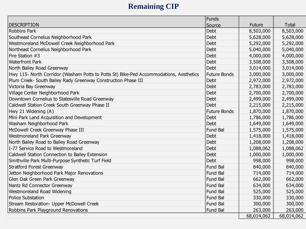#### **Remaining CIP**

|                                                                                        | Funds               |               |              |
|----------------------------------------------------------------------------------------|---------------------|---------------|--------------|
| DESCRIPTION                                                                            | Source              | <b>Future</b> | <b>Total</b> |
| <b>Robbins Park</b>                                                                    | Debt                | 8,503,000     | 8,503,000    |
| Southeast Cornelius Neighborhood Park                                                  | Debt                | 5,628,000     | 5,628,000    |
| Westmoreland McDowell Creek Neighborhood Park                                          | Debt                | 5,292,000     | 5,292,000    |
| Northeast Cornelius Neighborhood Park                                                  | Debt                | 5,040,000     | 5,040,000    |
| Fire Station #3                                                                        | Debt                | 4,000,000     | 4,000,000    |
| <b>Waterfront Park</b>                                                                 | Debt                | 3,508,000     | 3,508,000    |
| North Bailey Road Greenway                                                             | Debt                | 3,014,000     | 3,014,000    |
| Hwy 115- North Corridor (Washam Potts to Potts St) Bike-Ped Accommodations, Aesthetics | <b>Future Bonds</b> | 3,000,000     | 3,000,000    |
| Plum Creek- South Bailey Rady Greenway Construction Phase III                          | Debt                | 2,972,000     | 2,972,000    |
| Victoria Bay Greenway                                                                  | Debt                | 2,783,000     | 2,783,000    |
| Village Center Neighborhood Park                                                       | Debt                | 2,700,000     | 2,700,000    |
| Downtown Cornelius to Statesville Road Greenway                                        | Debt                | 2,499,000     | 2,499,000    |
| Caldwell Station Creek South Greenway Phase II                                         | Debt                | 2,215,000     | 2,215,000    |
| Hwy 21 Widening (A)                                                                    | <b>Future Bonds</b> | 1,870,000     | 1,870,000    |
| Mini Park Land Acquisition and Development                                             | Debt                | 1,786,000     | 1,786,000    |
| Washam Neighborhood Park                                                               | <b>Debt</b>         | 1,649,000     | 1,649,000    |
| McDowell Creek Greenway Phase III                                                      | Fund Bal            | 1,575,000     | 1,575,000    |
| Westmoreland Park Greenway                                                             | Debt                | 1,418,000     | 1,418,000    |
| North Bailey Road to Bailey Road Greenway                                              | Debt                | 1,208,000     | 1,208,000    |
| I-77 Service Road to Westmoreland                                                      | Debt                | 1,088,062     | 1,088,062    |
| Caldwell Station Connection to Bailey Extension                                        | Debt                | 1,000,000     | 1,000,000    |
| Smithville Park Multi-Purpose Synthetic Turf Field                                     | Debt                | 998,000       | 998,000      |
| <b>Stratford Forest Greenway</b>                                                       | Fund Bal            | 840,000       | 840,000      |
| Jetton Neighborhood Park Major Renovations                                             | Fund Bal            | 714,000       | 714,000      |
| Glen Oak Green Park Greenway                                                           | Fund Bal            | 662,000       | 662,000      |
| Nantz Rd Connector Greenway                                                            | Fund Bal            | 634,000       | 634,000      |
| Westmoreland Road Widening                                                             | Fund Bal            | 525,000       | 525,000      |
| <b>Police Substation</b>                                                               | Fund Bal            | 330,000       | 330,000      |
| Stream Restoration- Upper McDowell Creek                                               | Fund Bal            | 300,000       | 300,000      |
| Robbins Park Playground Renovations                                                    | Fund Bal            | 263,000       | 263,000      |
|                                                                                        |                     | 68,014,062    | 68,014,062   |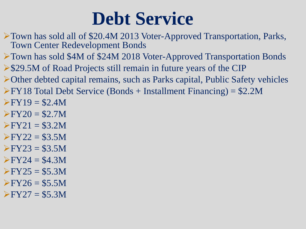### **Debt Service**

- ➢Town has sold all of \$20.4M 2013 Voter-Approved Transportation, Parks, Town Center Redevelopment Bonds
- ➢Town has sold \$4M of \$24M 2018 Voter-Approved Transportation Bonds
- ➢\$29.5M of Road Projects still remain in future years of the CIP
- ➢Other debted capital remains, such as Parks capital, Public Safety vehicles
- $\triangleright$  FY18 Total Debt Service (Bonds + Installment Financing) = \$2.2M
- $FY19 = $2.4M$
- $FY20 = $2.7M$
- $\triangleright$  FY21 = \$3.2M
- $FY22 = $3.5M$
- $FY23 = $3.5M$
- $\triangleright$  FY24 = \$4.3M
- $\triangleright$  FY25 = \$5.3M
- $\triangleright$  FY26 = \$5.5M
- $\triangleright$  FY27 = \$5.3M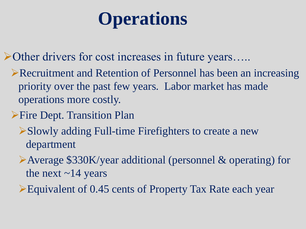### **Operations**

➢Other drivers for cost increases in future years…..

- ➢Recruitment and Retention of Personnel has been an increasing priority over the past few years. Labor market has made operations more costly.
- ➢Fire Dept. Transition Plan
	- ➢Slowly adding Full-time Firefighters to create a new department
	- ➢Average \$330K/year additional (personnel & operating) for the next  $\sim$  14 years
	- ➢Equivalent of 0.45 cents of Property Tax Rate each year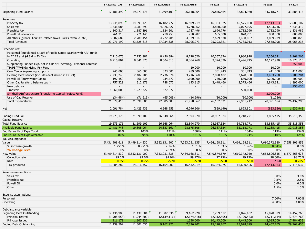|                                                                       | FY 2018 ACTUAL | FY 2019 Actual           | FY 2020 Actual | FY 2021 Actual           | FY 2022                  | <b>FY 2022 EYE</b>       | FY 2023                  | FY 2024       |
|-----------------------------------------------------------------------|----------------|--------------------------|----------------|--------------------------|--------------------------|--------------------------|--------------------------|---------------|
| Beginning Fund Balance                                                | 17,181,392     | 19,273,176               | 21,699,109     | 26,648,064               | 29,846,464               | 32,894,970               | 34,718,771               | 33,885,415    |
|                                                                       |                |                          |                |                          |                          |                          |                          |               |
| Revenues:                                                             |                |                          |                |                          |                          |                          |                          |               |
| Property tax                                                          | 13,745,899     | 14,093,129               | 16,182,772     | 16,509,219               | 16,364,075               | 16,575,000               | 17,413,063               | 17,689,107    |
| Sales tax                                                             | 3,736,084      | 3,983,699                | 4,026,827      | 4,778,062                | 3,850,000                | 5,077,095                | 4,503,216                | 4,638,312     |
| Franchise tax                                                         | 1,840,317      | 1,887,891                | 1,824,201      | 1,787,496                | 1,694,776                | 1,782,090                | 1,782,090                | 1,831,989     |
| Powell Bill allocation                                                | 761,210        | 771,445                  | 778,253        | 750,982                  | 685,000                  | 870,761                  | 800,000                  | 800,000       |
| All others (grants, Tourism-related taxes, Parks revenue, etc.)       | 3,887,689      | 2,789,454                | 4,222,285      | 4,379,514                | 2,699,530                | 3,480,067                | 3,059,929                | 3,105,828     |
| <b>Total Revenues</b>                                                 | 23,971,199     | 23,525,618               | 27,034,338     | 28,205,273               | 25,293,381               | 27,785,013               | 27,558,298               | 28,065,236    |
| Expenditures:                                                         |                |                          |                |                          |                          |                          |                          |               |
| Personnel (supplanted \$4.8M of Public Safety salaries with ARP funds |                |                          |                |                          |                          |                          |                          |               |
| in FY 23 and \$4.8M in FY 24)                                         | 7,710,073      | 7,753,882                | 8,436,384      | 8,798,520                | 10,357,874               | 9,980,928                | 7,356,321                | 8,161,263     |
| Operating                                                             | 8,710,804      | 8,341,575                | 8,504,513      | 8,364,268                | 9,374,336                | 9,496,715                | 10,127,990               | 10,573,110    |
| Supplanting-Funded Exp. not in CIP or Operating/Personnel Forecast    |                |                          |                |                          |                          |                          |                          | 750,000       |
| TH/PS/PW/Bldg Maint. Rsv Fund                                         | $\sim$         | $\overline{\phantom{0}}$ | $\sim$         | 10,000                   | 10,000                   | 10,000                   | 10,000                   |               |
| Cain Center (operating support)                                       | 245,000        | 365,000                  | 323,000        | 289,600                  | 351,743                  | 351,743                  | 411,000                  | 411,000       |
| Existing Debt service (includes debt issued in FY 23)                 | 2,233,243      | 2,402,706                | 2,736,874      | 3,216,860                | 2,890,102                | 2,628,360                | 3,453,758                | 3,285,284     |
| Powell Bill/Stormwater Capital                                        | 197,450        | 766,235                  | 734,472        | 1,100,000                | 750,000                  | 650,000                  | 1,200,000                | 400,000       |
| Other Capital (fund balance cash)                                     | 1,757,329      |                          | 788,072        | 193,815                  | 2,448,466                |                          | 2,843,821                | 1,896,000     |
| New debt svc                                                          |                | 312,178                  | $\sim$         | $\overline{\phantom{a}}$ |                          | 2,373,466                | $\sim$                   | 955,636       |
| Transfers                                                             | 1,060,000      | 1,229,722                | 627,077        | $\overline{\phantom{a}}$ | $\overline{\phantom{a}}$ | 500,000                  | $\overline{\phantom{a}}$ | $\sim$        |
| Smithville/Infrastructure (Transfer to Capital Project Fund)          |                |                          |                |                          |                          |                          | 3,000,000                |               |
| Use of Cap Reserve                                                    | (34, 484)      | (71, 613)                | (65,009)       | (14,696)                 | (30,000)                 | (30,000)                 | (11, 236)                |               |
| <b>Total Expenditures</b>                                             | 21,879,415     | 21,099,685               | 22,085,383     | 21,958,367               | 26,152,521               | 25,961,212               | 28,391,654               | 26,432,293    |
|                                                                       |                |                          |                |                          |                          |                          |                          |               |
| Net                                                                   | 2,091,784      | 2,425,933                | 4,948,955      | 6,246,906                | (859, 140)               | 1,823,801                | (833, 356)               | 1,632,943     |
| <b>Ending Fund Bal</b>                                                | 19,273,176     | 21,699,109               | 26,648,064     | 32,894,970               | 28,987,324               | 34,718,771               | 33,885,415               | 35,518,358    |
| Capital Reserve                                                       |                |                          |                |                          |                          | $\overline{\phantom{a}}$ | $\overline{\phantom{a}}$ |               |
| Total Fund Balance                                                    | 19,273,176     | 21,699,109               | 26,648,064     | 32,894,970               | 28,987,324               | 34,718,771               | 33,885,415               | 35,518,358    |
| <b>Available Fund Balance</b>                                         | 17,481,748     | 19,808,064               | 24,357,161     | 28,675,506               | 26,387,324               | 32,118,771               | 31,285,415               | 32,918,358    |
| End Bal as % of Exps Total                                            | 88%            | 103%                     | 121%           | 150%                     | 111%                     | 134%                     | 119%                     | 134%          |
| End Bal as % of Exps Available                                        | 80%            | 94%                      | 110%           | 131%                     | 101%                     | 124%                     | 110%                     | 125%          |
| Tax Assumptions:                                                      |                |                          |                |                          |                          |                          |                          |               |
| Value                                                                 | 5,431,908,611  | 5,499,814,530            | 5,552,131,900  | 7,353,051,835            | 7,464,168,311            | 7,464,168,311            | 7,610,372,920            | 7,658,806,855 |
| % increase growth                                                     | 1.250%         | 0.951%                   | 2.74%          | 1.51%                    | 1.03%                    | 1.96%                    | 0.64%                    | 0.0%          |
| % Change reval                                                        | $0\%$          | 0%                       | 28.9%          | $0\%$                    | $0\%$                    | 0%                       | 0%                       | 12%           |
| New Value                                                             | 5,499,814,530  | 5,552,131,900            | 7,353,051,835  | 7,464,168,311            | 7,540,874,579            | 7,610,372,920            | 7,658,806,855            | 8,577,863,678 |
| Collection rate                                                       | 99.0%          | 99.0%                    | 99.0%          | 99.17%                   | 97.75%                   | 99.15%                   | 98.00%                   | 98.75%        |
| Rate                                                                  | 0.255          | 0.255                    | 0.2220         | 0.2220                   | 0.2220                   | 0.2200                   | 0.2320                   | 0.2056        |
| Tax produced                                                          | 13,884,282     | 14,016,357               | 16,164,000     | 16,432,919               | 16,364,075               | 16,600,506               | 17,413,063               | 17,415,637    |
|                                                                       |                |                          |                |                          |                          |                          |                          |               |
| Revenue assumptions:                                                  |                |                          |                |                          |                          |                          |                          |               |
| Sales tax                                                             |                |                          |                |                          |                          |                          | 3.0%                     | 3.0%          |
| Franchise tax                                                         |                |                          |                |                          |                          |                          | 2.8%                     | 2.8%          |
| Powell Bill                                                           |                |                          |                |                          |                          |                          | 0.0%                     | 0.0%          |
| Other                                                                 |                |                          |                |                          |                          |                          | 1.5%                     | 1.5%          |
|                                                                       |                |                          |                |                          |                          |                          |                          |               |
| Expense assumptions:<br>Personnel                                     |                |                          |                |                          |                          |                          | 7.00%                    | 7.00%         |
|                                                                       |                |                          |                |                          |                          |                          |                          | 4.00%         |
| Operating                                                             |                |                          |                |                          |                          |                          | 4.00%                    |               |
| Debt issuance variable:                                               |                |                          |                |                          |                          |                          |                          |               |
| Beginning Debt Outstanding                                            | 12,436,983     | 11,439,504               | 11,302,036     | 9,162,920                | 7,289,672                | 7,826,402                | 15,078,879               | 14,452,765    |
| Principal retired                                                     | (1,908,658)    | (1,944,800)              | (2, 139, 116)  | (2,674,518)              | (2,312,505)              | (2, 190, 523)            | (2,711,114)              | (2,674,763)   |
| Principal issued                                                      | 911,179        | 1,807,332                |                | 1,338,000                | 10,143,000               | 9,443,000                | 2,085,000                | 17,984,433    |
| Ending Debt Outstanding                                               | 11,439,504     | 11,302,036               | 9,162,920      | 7,826,402                | 15,120,167               | 15,078,879               | 14,452,765               | 29,762,435    |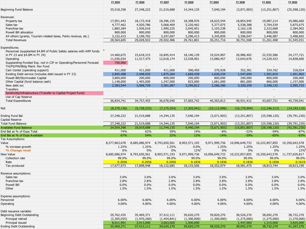|                                                                       | FY 2025         | FY 2026         | FY 2027         | FY 2028                  | FY 2029         | FY 2030          | FY 2031          | FY 2032          |
|-----------------------------------------------------------------------|-----------------|-----------------|-----------------|--------------------------|-----------------|------------------|------------------|------------------|
| Beginning Fund Balance                                                | 35,518,358      | 27,248,222      | 21,519,688      | 14,344,135               | 7,040,194       | (3,071,903)      | (13, 251, 807)   | (25, 598, 120)   |
|                                                                       |                 |                 |                 |                          |                 |                  |                  |                  |
| Revenues:                                                             |                 |                 |                 |                          |                 |                  |                  |                  |
| Property tax                                                          | 17,951,443      | 18,172,418      | 18,396,155      | 18,398,976               | 18,625,544      | 18,854,945       | 19,087,214       | 19,086,660       |
| Sales tax                                                             | 4,777,462       | 4,920,786       | 5,068,409       | 5,220,462                | 5,377,075       | 5,538,388        | 5,704,539        | 5,875,675        |
| Franchise tax                                                         | 1,883,284       | 1,936,016       | 1,990,225       | 2,045,951                | 2,103,238       | 2,162,128        | 2,222,668        | 2,284,902        |
| Powell Bill allocation                                                | 800,000         | 800,000         | 800,000         | 800,000                  | 800,000         | 800,000          | 800,000          | 800,000          |
| All others (grants, Tourism-related taxes, Parks revenue, etc.)       | 3,152,415       | 3,199,702       | 3,247,697       | 3,296,413                | 3,345,859       | 3,396,047        | 3,446,987        | 3,498,692        |
| <b>Total Revenues</b>                                                 | 28,564,605      | 29,028,922      | 29,502,486      | 29,761,801               | 30,251,716      | 30,751,508       | 31,261,408       | 31,545,931       |
| Expenditures:                                                         |                 |                 |                 |                          |                 |                  |                  |                  |
| Personnel (supplanted \$4.8M of Public Safety salaries with ARP funds |                 |                 |                 |                          |                 |                  |                  |                  |
| in FY 23 and \$4.8M in FY 24)                                         | 14,460,675      | 15,618,315      | 16,845,414      | 18,146,139               | 19,524,907      | 20,986,402       | 22,535,586       | 24,177,721       |
| Operating                                                             | 11,036,034      | 11,517,475      | 12,018,174      | 12,538,901               | 13,080,457      | 13,643,676       | 14,229,423       | 14,838,600       |
| Supplanting-Funded Exp. not in CIP or Operating/Personnel Forecast    | 750,000         |                 |                 |                          |                 |                  |                  |                  |
| TH/PS/PW/Bldg Maint. Rsv Fund                                         | $\sim$          | $\sim$          | $\sim$          | $\sim$                   |                 |                  |                  |                  |
| Cain Center (operating support)                                       | 411,000         | 411,000         | 411,000         | 390,450                  | 370,928         | 352,381          | 334,762          | 318,024          |
| Existing Debt service (includes debt issued in FY 23)                 | 2,845,488       | 2,448,935       | 1,875,364       | 1,669,439                | 1,620,234       | 1,547,694        | 1,501,819        | 1,451,963        |
| Powell Bill/Stormwater Capital                                        | 3,800,000       | 200,000         | 800,000         | 200,000                  | 800,000         | 200,000          | 800,000          | 200,000          |
| Other Capital (fund balance cash)                                     | 1,148,000       | 1,493,000       | 1,347,000       | 825,000                  | 1,681,000       | 881,000          | 866,000          | 1,157,000        |
| New debt svc                                                          | 2,383,544       | 3,068,729       | 3,381,087       | 3,295,812                | 3,286,286       | 3,320,259        | 3,340,132        | 3,595,733        |
| Transfers                                                             | $\sim$          | $\sim$ $-$      | $\sim$ $-$      | $\sim$                   | $\sim 100$      | $\sim$           | $\sim$ $-$       | $\sim$           |
| Smithville/Infrastructure (Transfer to Capital Project Fund)          |                 |                 |                 |                          |                 |                  |                  |                  |
| Use of Cap Reserve                                                    | $\sim$          | $\sim$          | $\sim$          | $\sim$                   |                 | $\sim$           | $\sim$           | $\sim$           |
| <b>Total Expenditures</b>                                             | 36,834,741      | 34,757,455      | 36,678,040      | 37,065,742               | 40,363,813      | 40,931,412       | 43,607,721       | 45,739,041       |
| Net                                                                   | (8, 270, 136)   | (5,728,533)     | (7, 175, 554)   | (7,303,941)              | (10, 112, 096)  | (10, 179, 904)   | (12, 346, 313)   | (14, 193, 110)   |
|                                                                       |                 |                 |                 |                          |                 |                  |                  |                  |
| Ending Fund Bal                                                       | 27,248,222      | 21,519,688      | 14,344,135      | 7,040,194                | (3,071,903)     | (13, 251, 807)   | (25, 598, 120)   | (39, 791, 230)   |
| Capital Reserve                                                       | $\sim$          | $\sim$          | $\sim$          | $\overline{\phantom{a}}$ | $\sim$          | $\sim$           | $\sim$           |                  |
| Total Fund Balance                                                    | 27,248,222      | 21,519,688      | 14,344,135      | 7,040,194                | (3,071,903)     | (13, 251, 807)   | (25, 598, 120)   | (39,791,230)     |
| <b>Available Fund Balance</b>                                         | 24,554,398      | 18,919,688      | 11,744,135      | 4,440,194                | (5,671,903)     | (15,851,807)     | (28, 198, 120)   | (42, 391, 230)   |
| End Bal as % of Exps Total                                            | 74%<br>67%      | 62%<br>54%      | 39%<br>32%      | 19%                      | $-8%$<br>$-14%$ | $-32%$<br>$-39%$ | $-59%$<br>$-65%$ | $-87%$<br>$-93%$ |
| End Bal as % of Exps Available<br>Tax Assumptions:                    |                 |                 |                 | 12%                      |                 |                  |                  |                  |
| Value                                                                 | 8,577,863,678   | 8,685,086,974   | 8,793,650,561   | 8,903,571,193            | 9,971,999,736   | 10,096,649,733   | 10,222,857,855   | 10,350,643,578   |
| % increase growth                                                     | 1.25%           | 1.25%           | 1.25%           | $0.0\%$                  | 1.25%           | 1.25%            | 1.25%            | 1.25%            |
| % Change reval                                                        | $0\%$           | $0\%$           | $0\%$           | 12%                      | 0%              | 0%               | $0\%$            | 12%              |
| New Value                                                             | 8,685,086,974   | 8,793,650,561   | 8,903,571,193   | 9,971,999,736            | 10,096,649,733  | 10,222,857,855   | 10,350,643,578   | 11,737,629,817   |
| Collection rate                                                       | 99.0%           | 99.0%           | 99.0%           | 99.0%                    | 99.0%           | 99.0%            | 99.0%            | 99.0%            |
| Rate                                                                  | 0.2056          | 0.2056          | 0.2056          | 0.1836                   | 0.1836          | 0.1836           | 0.1836           | 0.1619           |
| Tax produced                                                          | 17,677,973      | 17,898,948      | 18,122,685      | 18,125,506               | 18,352,074      | 18,581,475       | 18,813,744       | 18,813,190       |
|                                                                       |                 |                 |                 |                          |                 |                  |                  |                  |
| Revenue assumptions:                                                  |                 |                 |                 |                          |                 |                  |                  |                  |
| Sales tax                                                             | 3.0%            | 3.0%            | 3.0%            | 3.0%                     | 3.0%            | 3.0%             | 3.0%             | $3.0\%$          |
| Franchise tax<br>Powell Bill                                          | 2.8%            | 2.8%            | 2.8%            | 2.8%                     | 2.8%            | 2.8%             | 2.8%             | 2.8%             |
| Other                                                                 | $0.0\%$<br>1.5% | $0.0\%$<br>1.5% | $0.0\%$<br>1.5% | $0.0\%$<br>1.5%          | $0.0\%$<br>1.5% | $0.0\%$<br>1.5%  | 0.0%<br>1.5%     | $0.0\%$<br>1.5%  |
|                                                                       |                 |                 |                 |                          |                 |                  |                  |                  |
| Expense assumptions:                                                  |                 |                 |                 |                          |                 |                  |                  |                  |
| Personnel                                                             | 6.00%           | 6.00%           | 6.00%           | 6.00%                    | 6.00%           | 6.00%            | 6.00%            | 6.00%            |
| Operating                                                             | 4.00%           | 4.00%           | 4.00%           | 4.00%                    | 4.00%           | 4.00%            | 4.00%            | 4.00%            |
| Debt issuance variable:                                               |                 |                 |                 |                          |                 |                  |                  |                  |
| Beginning Debt Outstanding                                            | 29,762,435      | 35,469,371      | 37,412,111      | 39,620,270               | 39,820,270      | 38,520,270       | 38,692,270       | 38,732,270       |
| Principal retired                                                     | (2,305,055)     | (1,970,260)     | (1,454,841)     | (1,300,000)              | (1,300,000)     | (1,275,000)      | (1, 275, 000)    | (1, 270, 000)    |
| Principal issued                                                      | 8,011,991       | 3,913,000       | 3,663,000       | 1,500,000                |                 | 1,447,000        | 1,315,000        | 3,835,000        |
| Ending Debt Outstanding                                               | 35,469,371      | 37,412,111      | 39,620,270      | 39,820,270               | 38,520,270      | 38,692,270       | 38,732,270       | 41,297,270       |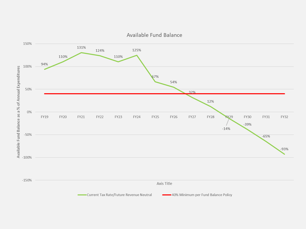

Available Fund Balance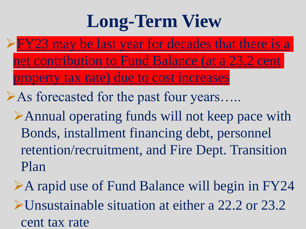## **Long-Term View**

 $\triangleright$  FY23 may be last year for decades that there is a net contribution to Fund Balance (at a 23.2 cent property tax rate) due to cost increases

➢As forecasted for the past four years…..

- ➢Annual operating funds will not keep pace with Bonds, installment financing debt, personnel retention/recruitment, and Fire Dept. Transition Plan
- ➢A rapid use of Fund Balance will begin in FY24 ➢Unsustainable situation at either a 22.2 or 23.2 cent tax rate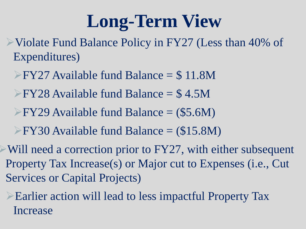## **Long-Term View**

➢Violate Fund Balance Policy in FY27 (Less than 40% of Expenditures)

- ➢FY27 Available fund Balance = \$ 11.8M
- ➢FY28 Available fund Balance = \$ 4.5M
- ➢FY29 Available fund Balance = (\$5.6M)
- ➢FY30 Available fund Balance = (\$15.8M)

 $\triangleright$  Will need a correction prior to FY27, with either subsequent Property Tax Increase(s) or Major cut to Expenses (i.e., Cut Services or Capital Projects)

➢Earlier action will lead to less impactful Property Tax Increase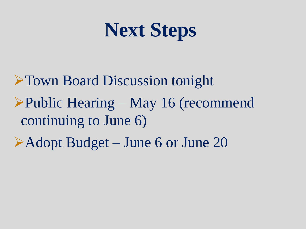# **Next Steps**

➢Town Board Discussion tonight ➢Public Hearing – May 16 (recommend continuing to June 6) ➢Adopt Budget – June 6 or June 20